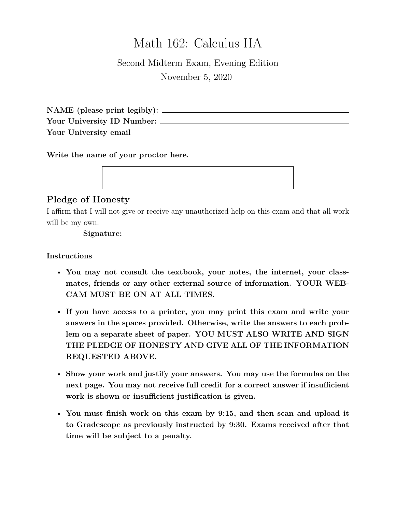# Math 162: Calculus IIA

## Second Midterm Exam, Evening Edition November 5, 2020

**NAME (please print legibly): Your University ID Number: Your University email**

**Write the name of your proctor here.**

### **Pledge of Honesty**

I affirm that I will not give or receive any unauthorized help on this exam and that all work will be my own.

**Signature:**

**Instructions**

- **You may not consult the textbook, your notes, the internet, your classmates, friends or any other external source of information. YOUR WEB-CAM MUST BE ON AT ALL TIMES.**
- **If you have access to a printer, you may print this exam and write your answers in the spaces provided. Otherwise, write the answers to each problem on a separate sheet of paper. YOU MUST ALSO WRITE AND SIGN THE PLEDGE OF HONESTY AND GIVE ALL OF THE INFORMATION REQUESTED ABOVE.**
- **Show your work and justify your answers. You may use the formulas on the next page. You may not receive full credit for a correct answer if insufficient work is shown or insufficient justification is given.**
- **You must finish work on this exam by 9:15, and then scan and upload it to Gradescope as previously instructed by 9:30. Exams received after that time will be subject to a penalty.**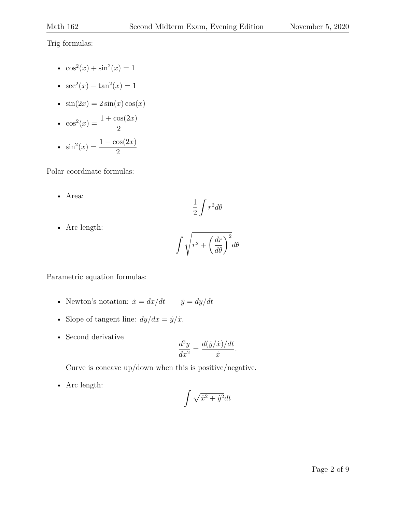Trig formulas:

- $\cos^2(x) + \sin^2(x) = 1$
- $sec^2(x) tan^2(x) = 1$
- $\sin(2x) = 2\sin(x)\cos(x)$

• 
$$
\cos^2(x) = \frac{1 + \cos(2x)}{2}
$$
  
\n•  $\sin^2(x) = \frac{1 - \cos(2x)}{2}$ 

Polar coordinate formulas:

• Area:

$$
\frac{1}{2}\int r^2 d\theta
$$

• Arc length:

$$
\int \sqrt{r^2+\left(\frac{dr}{d\theta}\right)^2}d\theta
$$

Parametric equation formulas:

- Newton's notation:  $\dot{x} = dx/dt$   $\dot{y} = dy/dt$
- Slope of tangent line:  $dy/dx = \dot{y}/\dot{x}$ .
- Second derivative

$$
\frac{d^2y}{dx^2} = \frac{d(\dot{y}/\dot{x})/dt}{\dot{x}}.
$$

Curve is concave up/down when this is positive/negative.

• Arc length:

$$
\int \sqrt{\dot{x}^2 + \dot{y}^2} dt
$$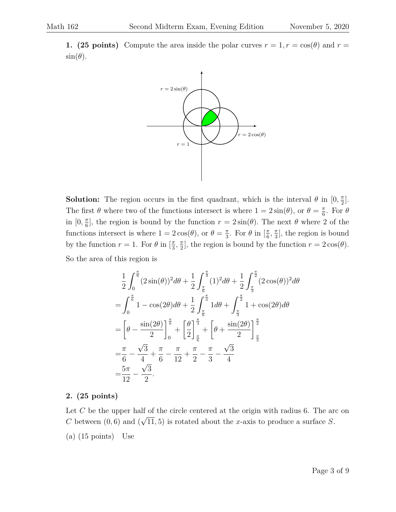**1. (25 points)** Compute the area inside the polar curves  $r = 1, r = \cos(\theta)$  and  $r =$  $\sin(\theta)$ .



**Solution:** The region occurs in the first quadrant, which is the interval  $\theta$  in  $[0, \frac{\pi}{2}]$  $\frac{\pi}{2}$ . The first  $\theta$  where two of the functions intersect is where  $1 = 2\sin(\theta)$ , or  $\theta = \frac{\pi}{6}$  $\frac{\pi}{6}$ . For  $\theta$ in  $[0, \frac{\pi}{6}]$  $\frac{\pi}{6}$ , the region is bound by the function  $r = 2\sin(\theta)$ . The next  $\theta$  where 2 of the functions intersect is where  $1 = 2\cos(\theta)$ , or  $\theta = \frac{\pi}{3}$  $\frac{\pi}{3}$ . For  $\theta$  in  $\left[\frac{\pi}{6}\right]$  $\frac{\pi}{6}, \frac{\pi}{3}$  $\frac{\pi}{3}$ , the region is bound by the function  $r = 1$ . For  $\theta$  in  $\left[\frac{\pi}{3}\right]$  $\frac{\pi}{3}, \frac{\pi}{2}$  $\frac{\pi}{2}$ , the region is bound by the function  $r = 2\cos(\theta)$ . So the area of this region is

$$
\frac{1}{2} \int_0^{\frac{\pi}{6}} (2\sin(\theta))^2 d\theta + \frac{1}{2} \int_{\frac{\pi}{6}}^{\frac{\pi}{3}} (1)^2 d\theta + \frac{1}{2} \int_{\frac{\pi}{3}}^{\frac{\pi}{2}} (2\cos(\theta))^2 d\theta
$$

$$
= \int_0^{\frac{\pi}{6}} 1 - \cos(2\theta) d\theta + \frac{1}{2} \int_{\frac{\pi}{6}}^{\frac{\pi}{3}} 1 d\theta + \int_{\frac{\pi}{3}}^{\frac{\pi}{2}} 1 + \cos(2\theta) d\theta
$$

$$
= \left[\theta - \frac{\sin(2\theta)}{2}\right]_0^{\frac{\pi}{6}} + \left[\frac{\theta}{2}\right]_{\frac{\pi}{6}}^{\frac{\pi}{3}} + \left[\theta + \frac{\sin(2\theta)}{2}\right]_{\frac{\pi}{3}}^{\frac{\pi}{2}}
$$

$$
= \frac{\pi}{6} - \frac{\sqrt{3}}{4} + \frac{\pi}{6} - \frac{\pi}{12} + \frac{\pi}{2} - \frac{\pi}{3} - \frac{\sqrt{3}}{4}
$$

$$
= \frac{5\pi}{12} - \frac{\sqrt{3}}{2}.
$$

#### **2. (25 points)**

Let  $C$  be the upper half of the circle centered at the origin with radius 6. The arc on C between  $(0, 6)$  and ( √  $(11, 5)$  is rotated about the x-axis to produce a surface S.

(a) (15 points) Use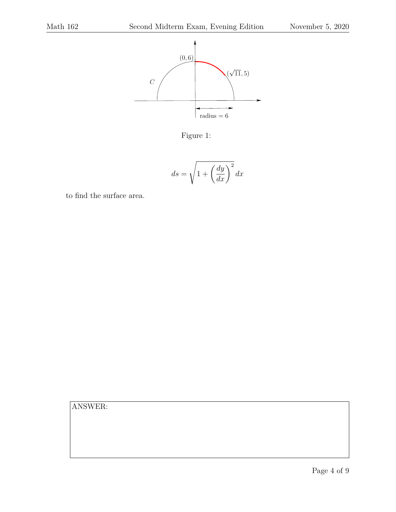

Figure 1:

$$
ds = \sqrt{1 + \left(\frac{dy}{dx}\right)^2} dx
$$

to find the surface area.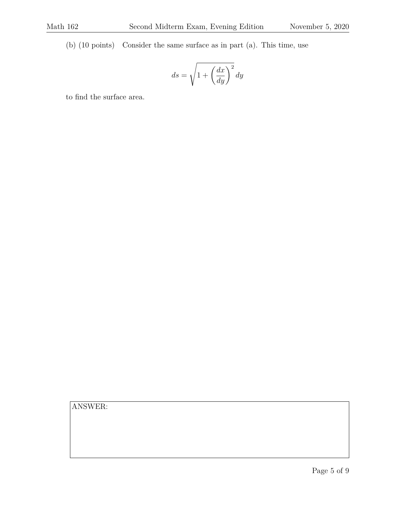(b) (10 points) Consider the same surface as in part (a). This time, use

$$
ds=\sqrt{1+\left(\frac{dx}{dy}\right)^2}\,dy
$$

to find the surface area.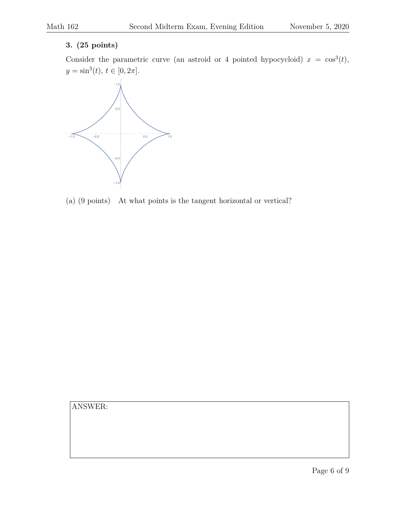#### **3. (25 points)**

Consider the parametric curve (an astroid or 4 pointed hypocycloid)  $x = \cos^3(t)$ ,  $y = \sin^3(t), t \in [0, 2\pi].$ 



(a) (9 points) At what points is the tangent horizontal or vertical?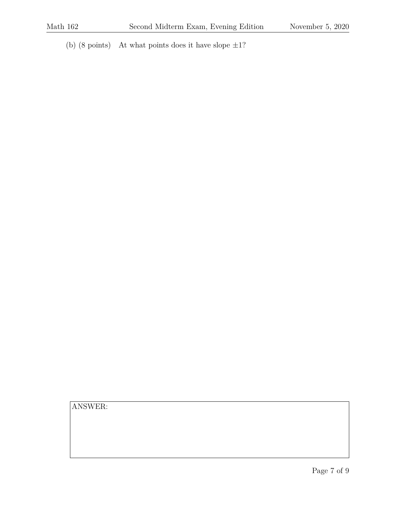(b)  $(8 \text{ points})$  At what points does it have slope  $\pm 1$ ?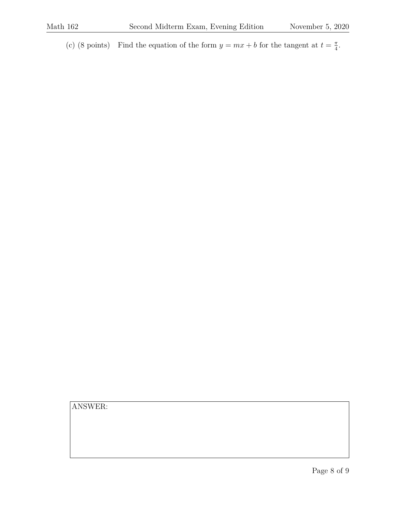(c) (8 points) Find the equation of the form  $y = mx + b$  for the tangent at  $t = \frac{\pi}{4}$  $\frac{\pi}{4}$ .